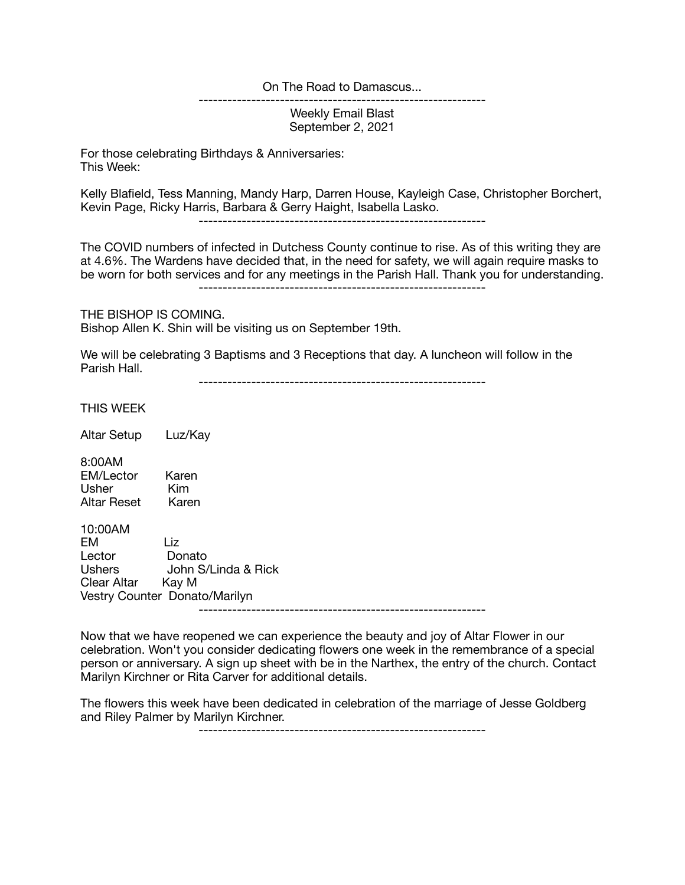## On The Road to Damascus...

Weekly Email Blast September 2, 2021

------------------------------------------------------------

For those celebrating Birthdays & Anniversaries: This Week:

Kelly Blafield, Tess Manning, Mandy Harp, Darren House, Kayleigh Case, Christopher Borchert, Kevin Page, Ricky Harris, Barbara & Gerry Haight, Isabella Lasko.

------------------------------------------------------------

The COVID numbers of infected in Dutchess County continue to rise. As of this writing they are at 4.6%. The Wardens have decided that, in the need for safety, we will again require masks to be worn for both services and for any meetings in the Parish Hall. Thank you for understanding. ------------------------------------------------------------

THE BISHOP IS COMING. Bishop Allen K. Shin will be visiting us on September 19th.

We will be celebrating 3 Baptisms and 3 Receptions that day. A luncheon will follow in the Parish Hall.

------------------------------------------------------------

THIS WEEK

Altar Setup Luz/Kay

8:00AM EM/Lector Karen<br>Usher Kim Usher Kim Altar Reset Karen

10:00AM **Liz** Lector Donato<br>Ushers John S/ John S/Linda & Rick Clear Altar Kay M Vestry Counter Donato/Marilyn

------------------------------------------------------------

Now that we have reopened we can experience the beauty and joy of Altar Flower in our celebration. Won't you consider dedicating flowers one week in the remembrance of a special person or anniversary. A sign up sheet with be in the Narthex, the entry of the church. Contact Marilyn Kirchner or Rita Carver for additional details.

The flowers this week have been dedicated in celebration of the marriage of Jesse Goldberg and Riley Palmer by Marilyn Kirchner.

------------------------------------------------------------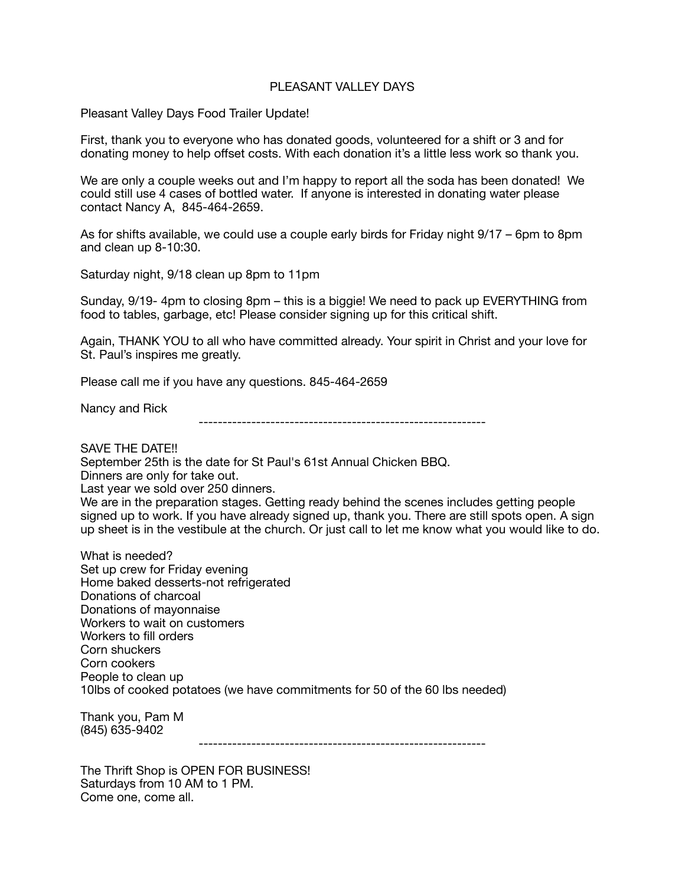## PI FASANT VALLEY DAYS

Pleasant Valley Days Food Trailer Update!

First, thank you to everyone who has donated goods, volunteered for a shift or 3 and for donating money to help offset costs. With each donation it's a little less work so thank you.

We are only a couple weeks out and I'm happy to report all the soda has been donated! We could still use 4 cases of bottled water. If anyone is interested in donating water please contact Nancy A, 845-464-2659.

As for shifts available, we could use a couple early birds for Friday night 9/17 – 6pm to 8pm and clean up 8-10:30.

Saturday night, 9/18 clean up 8pm to 11pm

Sunday, 9/19- 4pm to closing 8pm – this is a biggie! We need to pack up EVERYTHING from food to tables, garbage, etc! Please consider signing up for this critical shift.

Again, THANK YOU to all who have committed already. Your spirit in Christ and your love for St. Paul's inspires me greatly.

Please call me if you have any questions. 845-464-2659

Nancy and Rick ------------------------------------------------------------

SAVE THE DATE!!

September 25th is the date for St Paul's 61st Annual Chicken BBQ. Dinners are only for take out. Last year we sold over 250 dinners. We are in the preparation stages. Getting ready behind the scenes includes getting people signed up to work. If you have already signed up, thank you. There are still spots open. A sign up sheet is in the vestibule at the church. Or just call to let me know what you would like to do.

What is needed? Set up crew for Friday evening Home baked desserts-not refrigerated Donations of charcoal Donations of mayonnaise Workers to wait on customers Workers to fill orders Corn shuckers Corn cookers People to clean up 10lbs of cooked potatoes (we have commitments for 50 of the 60 lbs needed)

Thank you, Pam M (845) 635-9402

------------------------------------------------------------

The Thrift Shop is OPEN FOR BUSINESS! Saturdays from 10 AM to 1 PM. Come one, come all.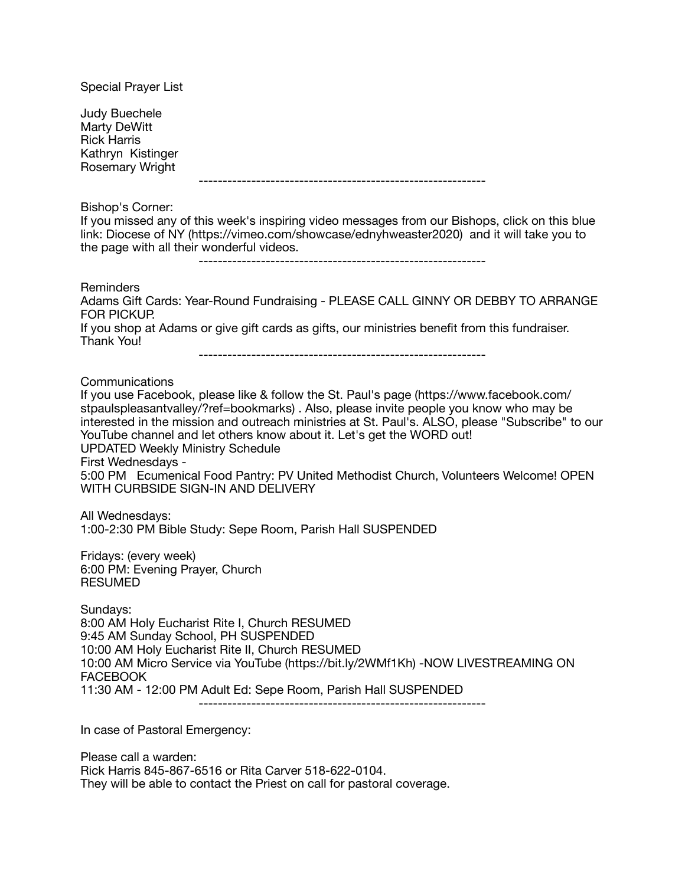| <b>Special Prayer List</b>                                                                                                                                                                                                                                                                                                                                                                                                                                                                                                                                                      |
|---------------------------------------------------------------------------------------------------------------------------------------------------------------------------------------------------------------------------------------------------------------------------------------------------------------------------------------------------------------------------------------------------------------------------------------------------------------------------------------------------------------------------------------------------------------------------------|
| <b>Judy Buechele</b><br>Marty DeWitt<br><b>Rick Harris</b><br>Kathryn Kistinger<br>Rosemary Wright                                                                                                                                                                                                                                                                                                                                                                                                                                                                              |
| Bishop's Corner:<br>If you missed any of this week's inspiring video messages from our Bishops, click on this blue<br>link: Diocese of NY (https://vimeo.com/showcase/ednyhweaster2020) and it will take you to<br>the page with all their wonderful videos.<br>-------------------------------------                                                                                                                                                                                                                                                                           |
| Reminders<br>Adams Gift Cards: Year-Round Fundraising - PLEASE CALL GINNY OR DEBBY TO ARRANGE<br><b>FOR PICKUP.</b><br>If you shop at Adams or give gift cards as gifts, our ministries benefit from this fundraiser.<br>Thank You!                                                                                                                                                                                                                                                                                                                                             |
| Communications<br>If you use Facebook, please like & follow the St. Paul's page (https://www.facebook.com/<br>stpaulspleasantvalley/?ref=bookmarks). Also, please invite people you know who may be<br>interested in the mission and outreach ministries at St. Paul's. ALSO, please "Subscribe" to our<br>YouTube channel and let others know about it. Let's get the WORD out!<br><b>UPDATED Weekly Ministry Schedule</b><br>First Wednesdays -<br>5:00 PM Ecumenical Food Pantry: PV United Methodist Church, Volunteers Welcome! OPEN<br>WITH CURBSIDE SIGN-IN AND DELIVERY |
| All Wednesdays:<br>1:00-2:30 PM Bible Study: Sepe Room, Parish Hall SUSPENDED                                                                                                                                                                                                                                                                                                                                                                                                                                                                                                   |
| Fridays: (every week)<br>6:00 PM: Evening Prayer, Church<br><b>RESUMED</b>                                                                                                                                                                                                                                                                                                                                                                                                                                                                                                      |
| Sundays:<br>8:00 AM Holy Eucharist Rite I, Church RESUMED<br>9:45 AM Sunday School, PH SUSPENDED<br>10:00 AM Holy Eucharist Rite II, Church RESUMED<br>10:00 AM Micro Service via YouTube (https://bit.ly/2WMf1Kh) -NOW LIVESTREAMING ON<br><b>FACEBOOK</b><br>11:30 AM - 12:00 PM Adult Ed: Sepe Room, Parish Hall SUSPENDED                                                                                                                                                                                                                                                   |
| In case of Pastoral Emergency:                                                                                                                                                                                                                                                                                                                                                                                                                                                                                                                                                  |

Please call a warden: Rick Harris 845-867-6516 or Rita Carver 518-622-0104. They will be able to contact the Priest on call for pastoral coverage.